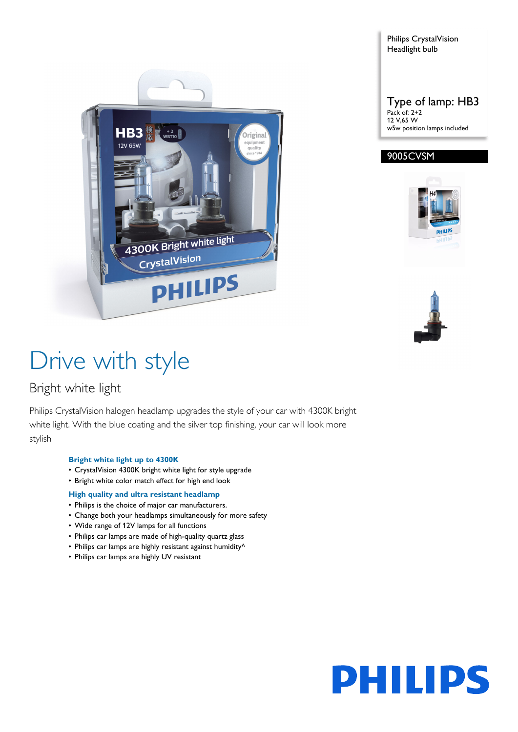



### 9005CVSM





# Drive with style

### Bright white light

Philips CrystalVision halogen headlamp upgrades the style of your car with 4300K bright white light. With the blue coating and the silver top finishing, your car will look more stylish

#### **Bright white light up to 4300K**

- CrystalVision 4300K bright white light for style upgrade
- Bright white color match effect for high end look

#### **High quality and ultra resistant headlamp**

- Philips is the choice of major car manufacturers.
- Change both your headlamps simultaneously for more safety
- Wide range of 12V lamps for all functions
- Philips car lamps are made of high-quality quartz glass
- Philips car lamps are highly resistant against humidity^
- Philips car lamps are highly UV resistant